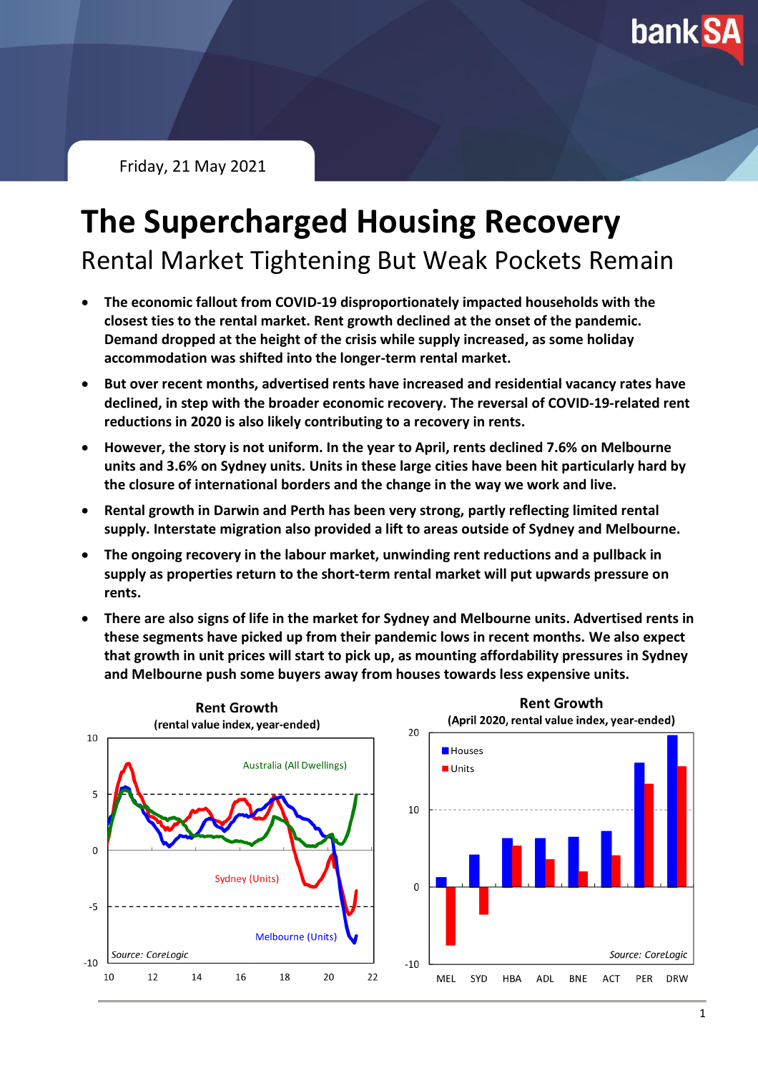**bank SA** 

Friday, 21 May 2021

# **The Supercharged Housing Recovery**

Rental Market Tightening But Weak Pockets Remain

- **The economic fallout from COVID-19 disproportionately impacted households with the closest ties to the rental market. Rent growth declined at the onset of the pandemic. Demand dropped at the height of the crisis while supply increased, as some holiday accommodation was shifted into the longer-term rental market.**
- **But over recent months, advertised rents have increased and residential vacancy rates have declined, in step with the broader economic recovery. The reversal of COVID-19-related rent reductions in 2020 is also likely contributing to a recovery in rents.**
- **However, the story is not uniform. In the year to April, rents declined 7.6% on Melbourne units and 3.6% on Sydney units. Units in these large cities have been hit particularly hard by the closure of international borders and the change in the way we work and live.**
- **Rental growth in Darwin and Perth has been very strong, partly reflecting limited rental supply. Interstate migration also provided a lift to areas outside of Sydney and Melbourne.**
- **The ongoing recovery in the labour market, unwinding rent reductions and a pullback in supply as properties return to the short-term rental market will put upwards pressure on rents.**
- **There are also signs of life in the market for Sydney and Melbourne units. Advertised rents in these segments have picked up from their pandemic lows in recent months. We also expect that growth in unit prices will start to pick up, as mounting affordability pressures in Sydney and Melbourne push some buyers away from houses towards less expensive units.**

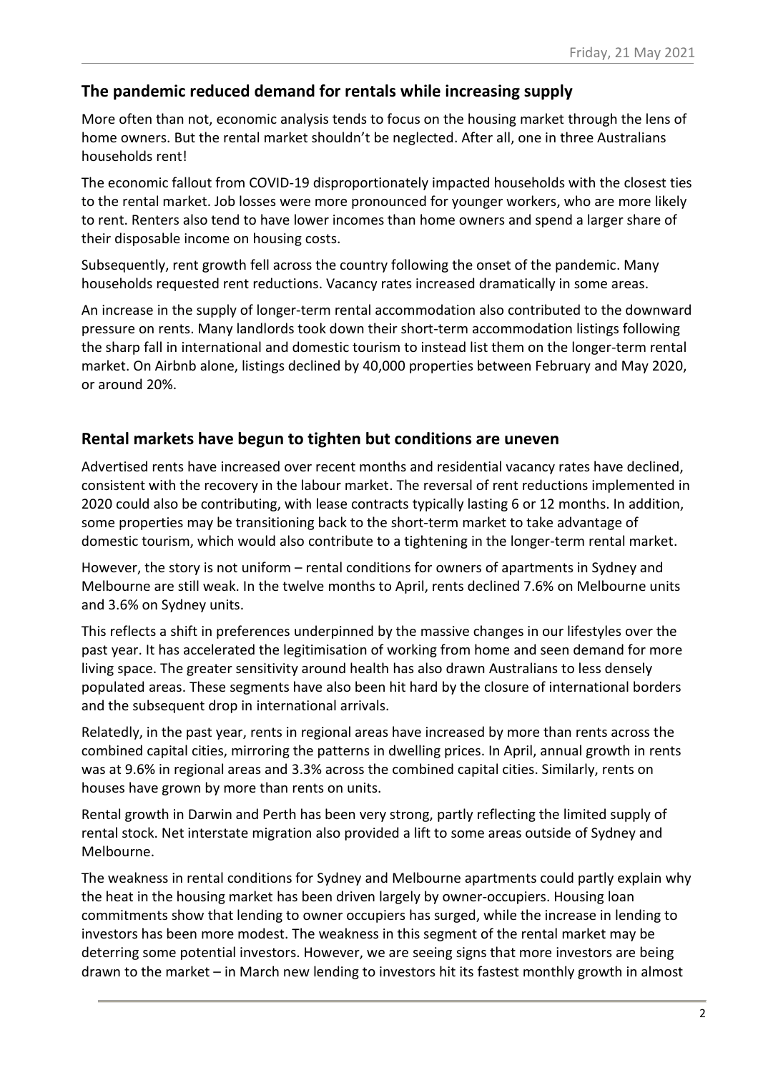#### **The pandemic reduced demand for rentals while increasing supply**

More often than not, economic analysis tends to focus on the housing market through the lens of home owners. But the rental market shouldn't be neglected. After all, one in three Australians households rent!

The economic fallout from COVID-19 disproportionately impacted households with the closest ties to the rental market. Job losses were more pronounced for younger workers, who are more likely to rent. Renters also tend to have lower incomes than home owners and spend a larger share of their disposable income on housing costs.

Subsequently, rent growth fell across the country following the onset of the pandemic. Many households requested rent reductions. Vacancy rates increased dramatically in some areas.

An increase in the supply of longer-term rental accommodation also contributed to the downward pressure on rents. Many landlords took down their short-term accommodation listings following the sharp fall in international and domestic tourism to instead list them on the longer-term rental market. On Airbnb alone, listings declined by 40,000 properties between February and May 2020, or around 20%.

#### **Rental markets have begun to tighten but conditions are uneven**

Advertised rents have increased over recent months and residential vacancy rates have declined, consistent with the recovery in the labour market. The reversal of rent reductions implemented in 2020 could also be contributing, with lease contracts typically lasting 6 or 12 months. In addition, some properties may be transitioning back to the short-term market to take advantage of domestic tourism, which would also contribute to a tightening in the longer-term rental market.

However, the story is not uniform – rental conditions for owners of apartments in Sydney and Melbourne are still weak. In the twelve months to April, rents declined 7.6% on Melbourne units and 3.6% on Sydney units.

This reflects a shift in preferences underpinned by the massive changes in our lifestyles over the past year. It has accelerated the legitimisation of working from home and seen demand for more living space. The greater sensitivity around health has also drawn Australians to less densely populated areas. These segments have also been hit hard by the closure of international borders and the subsequent drop in international arrivals.

Relatedly, in the past year, rents in regional areas have increased by more than rents across the combined capital cities, mirroring the patterns in dwelling prices. In April, annual growth in rents was at 9.6% in regional areas and 3.3% across the combined capital cities. Similarly, rents on houses have grown by more than rents on units.

Rental growth in Darwin and Perth has been very strong, partly reflecting the limited supply of rental stock. Net interstate migration also provided a lift to some areas outside of Sydney and Melbourne.

The weakness in rental conditions for Sydney and Melbourne apartments could partly explain why the heat in the housing market has been driven largely by owner-occupiers. Housing loan commitments show that lending to owner occupiers has surged, while the increase in lending to investors has been more modest. The weakness in this segment of the rental market may be deterring some potential investors. However, we are seeing signs that more investors are being drawn to the market – in March new lending to investors hit its fastest monthly growth in almost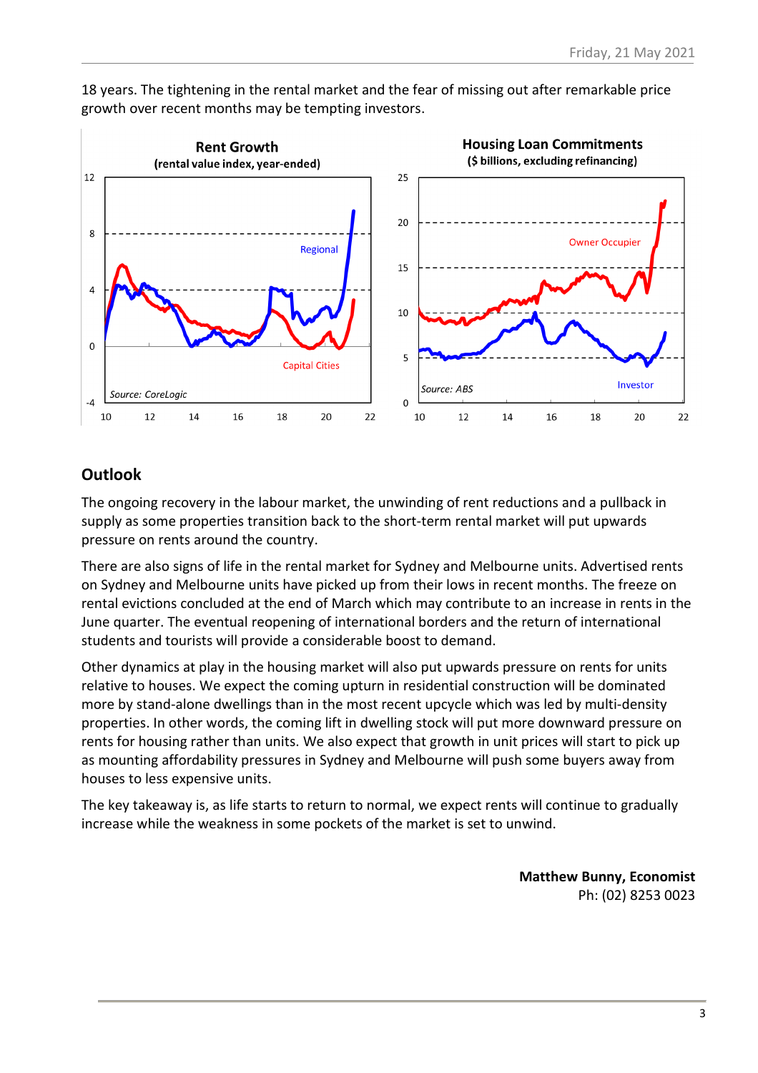

18 years. The tightening in the rental market and the fear of missing out after remarkable price growth over recent months may be tempting investors.

### **Outlook**

The ongoing recovery in the labour market, the unwinding of rent reductions and a pullback in supply as some properties transition back to the short-term rental market will put upwards pressure on rents around the country.

There are also signs of life in the rental market for Sydney and Melbourne units. Advertised rents on Sydney and Melbourne units have picked up from their lows in recent months. The freeze on rental evictions concluded at the end of March which may contribute to an increase in rents in the June quarter. The eventual reopening of international borders and the return of international students and tourists will provide a considerable boost to demand.

Other dynamics at play in the housing market will also put upwards pressure on rents for units relative to houses. We expect the coming upturn in residential construction will be dominated more by stand-alone dwellings than in the most recent upcycle which was led by multi-density properties. In other words, the coming lift in dwelling stock will put more downward pressure on rents for housing rather than units. We also expect that growth in unit prices will start to pick up as mounting affordability pressures in Sydney and Melbourne will push some buyers away from houses to less expensive units.

The key takeaway is, as life starts to return to normal, we expect rents will continue to gradually increase while the weakness in some pockets of the market is set to unwind.

> **Matthew Bunny, Economist** Ph: (02) 8253 0023